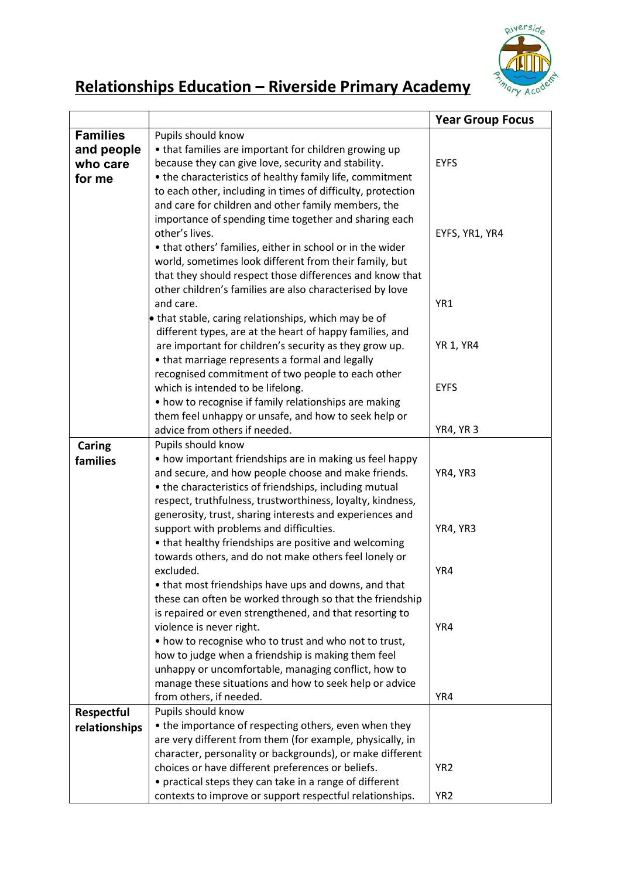

## Relationships Education – Riverside Primary Academy

|                 |                                                                               | <b>Year Group Focus</b> |
|-----------------|-------------------------------------------------------------------------------|-------------------------|
| <b>Families</b> | Pupils should know                                                            |                         |
| and people      | • that families are important for children growing up                         |                         |
| who care        | because they can give love, security and stability.                           | <b>EYFS</b>             |
| for me          | • the characteristics of healthy family life, commitment                      |                         |
|                 | to each other, including in times of difficulty, protection                   |                         |
|                 | and care for children and other family members, the                           |                         |
|                 | importance of spending time together and sharing each                         |                         |
|                 | other's lives.                                                                | EYFS, YR1, YR4          |
|                 | • that others' families, either in school or in the wider                     |                         |
|                 | world, sometimes look different from their family, but                        |                         |
|                 | that they should respect those differences and know that                      |                         |
|                 | other children's families are also characterised by love                      |                         |
|                 | and care.                                                                     | YR1                     |
|                 | that stable, caring relationships, which may be of                            |                         |
|                 | different types, are at the heart of happy families, and                      |                         |
|                 | are important for children's security as they grow up.                        | <b>YR 1, YR4</b>        |
|                 | • that marriage represents a formal and legally                               |                         |
|                 | recognised commitment of two people to each other                             |                         |
|                 | which is intended to be lifelong.                                             | <b>EYFS</b>             |
|                 | • how to recognise if family relationships are making                         |                         |
|                 | them feel unhappy or unsafe, and how to seek help or                          |                         |
|                 | advice from others if needed.                                                 | <b>YR4, YR3</b>         |
| Caring          | Pupils should know<br>• how important friendships are in making us feel happy |                         |
| families        | and secure, and how people choose and make friends.                           | YR4, YR3                |
|                 | • the characteristics of friendships, including mutual                        |                         |
|                 | respect, truthfulness, trustworthiness, loyalty, kindness,                    |                         |
|                 | generosity, trust, sharing interests and experiences and                      |                         |
|                 | support with problems and difficulties.                                       | YR4, YR3                |
|                 | • that healthy friendships are positive and welcoming                         |                         |
|                 | towards others, and do not make others feel lonely or                         |                         |
|                 | excluded.                                                                     | YR4                     |
|                 | • that most friendships have ups and downs, and that                          |                         |
|                 | these can often be worked through so that the friendship                      |                         |
|                 | is repaired or even strengthened, and that resorting to                       |                         |
|                 | violence is never right.                                                      | YR4                     |
|                 | • how to recognise who to trust and who not to trust,                         |                         |
|                 | how to judge when a friendship is making them feel                            |                         |
|                 | unhappy or uncomfortable, managing conflict, how to                           |                         |
|                 | manage these situations and how to seek help or advice                        |                         |
|                 | from others, if needed.                                                       | YR4                     |
| Respectful      | Pupils should know<br>• the importance of respecting others, even when they   |                         |
| relationships   | are very different from them (for example, physically, in                     |                         |
|                 | character, personality or backgrounds), or make different                     |                         |
|                 | choices or have different preferences or beliefs.                             | YR <sub>2</sub>         |
|                 | • practical steps they can take in a range of different                       |                         |
|                 | contexts to improve or support respectful relationships.                      | YR <sub>2</sub>         |